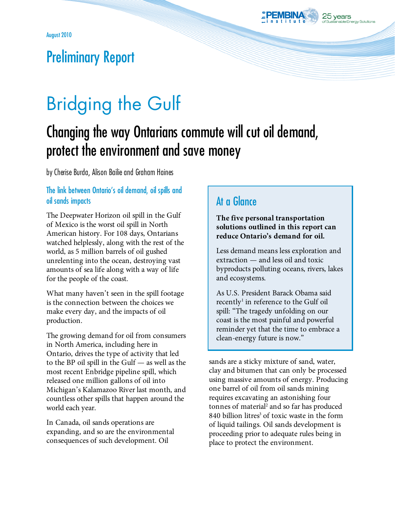

## Preliminary Report

# Bridging the Gulf

## Changing the way Ontarians commute will cut oil demand, protect the environment and save money

by Cherise Burda, Alison Bailie and Graham Haines

#### The link between Ontario's oil demand, oil spills and oil sands impacts

The Deepwater Horizon oil spill in the Gulf of Mexico is the worst oil spill in North American history. For 108 days, Ontarians watched helplessly, along with the rest of the world, as 5 million barrels of oil gushed unrelenting into the ocean, destroying vast amounts of sea life along with a way of life for the people of the coast.

What many haven't seen in the spill footage is the connection between the choices we make every day, and the impacts of oil production.

The growing demand for oil from consumers in North America, including here in Ontario, drives the type of activity that led to the BP oil spill in the Gulf — as well as the most recent Enbridge pipeline spill, which released one million gallons of oil into Michigan's Kalamazoo River last month, and countless other spills that happen around the world each year.

In Canada, oil sands operations are expanding, and so are the environmental consequences of such development. Oil

## At a Glance

#### **The five personal transportation solutions outlined in this report can reduce Ontario's demand for oil.**

Less demand means less exploration and extraction — and less oil and toxic byproducts polluting oceans, rivers, lakes and ecosystems.

As U.S. President Barack Obama said recently<sup>1</sup> in reference to the Gulf oil spill: "The tragedy unfolding on our coast is the most painful and powerful reminder yet that the time to embrace a clean-energy future is now."

sands are a sticky mixture of sand, water, clay and bitumen that can only be processed using massive amounts of energy. Producing one barrel of oil from oil sands mining requires excavating an astonishing four tonnes of material<sup>2</sup> and so far has produced 840 billion litres<sup>3</sup> of toxic waste in the form of liquid tailings. Oil sands development is proceeding prior to adequate rules being in place to protect the environment.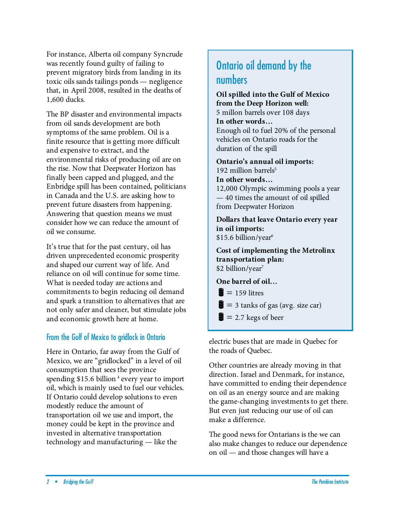For instance, Alberta oil company Syncrude was recently found guilty of failing to prevent migratory birds from landing in its toxic oils sands tailings ponds — negligence that, in April 2008, resulted in the deaths of 1,600 ducks.

The BP disaster and environmental impacts from oil sands development are both symptoms of the same problem. Oil is a finite resource that is getting more difficult and expensive to extract, and the environmental risks of producing oil are on the rise. Now that Deepwater Horizon has finally been capped and plugged, and the Enbridge spill has been contained, politicians in Canada and the U.S. are asking how to prevent future disasters from happening. Answering that question means we must consider how we can reduce the amount of oil we consume.

It's true that for the past century, oil has driven unprecedented economic prosperity and shaped our current way of life. And reliance on oil will continue for some time. What is needed today are actions and commitments to begin reducing oil demand and spark a transition to alternatives that are not only safer and cleaner, but stimulate jobs and economic growth here at home.

#### From the Gulf of Mexico to gridlock in Ontario

Here in Ontario, far away from the Gulf of Mexico, we are "gridlocked" in a level of oil consumption that sees the province spending \$15.6 billion<sup>4</sup> every year to import oil, which is mainly used to fuel our vehicles. If Ontario could develop solutions to even modestly reduce the amount of transportation oil we use and import, the money could be kept in the province and invested in alternative transportation technology and manufacturing — like the

## Ontario oil demand by the numbers

**Oil spilled into the Gulf of Mexico from the Deep Horizon well:**  5 millon barrels over 108 days **In other words…** Enough oil to fuel 20% of the personal vehicles on Ontario roads for the duration of the spill

**Ontario's annual oil imports:**  192 million barrels $5$ 

**In other words…** 

12,000 Olympic swimming pools a year — 40 times the amount of oil spilled from Deepwater Horizon

**Dollars that leave Ontario every year in oil imports:**  \$15.6 billion/year<sup>6</sup>

**Cost of implementing the Metrolinx transportation plan:**  \$2 billion/year<sup>7</sup>

**One barrel of oil…**

 $= 159$  litres

- $=$  3 tanks of gas (avg. size car)
- $\equiv$  2.7 kegs of beer

electric buses that are made in Quebec for the roads of Quebec.

Other countries are already moving in that direction. Israel and Denmark, for instance, have committed to ending their dependence on oil as an energy source and are making the game-changing investments to get there. But even just reducing our use of oil can make a difference.

The good news for Ontarians is the we can also make changes to reduce our dependence on oil — and those changes will have a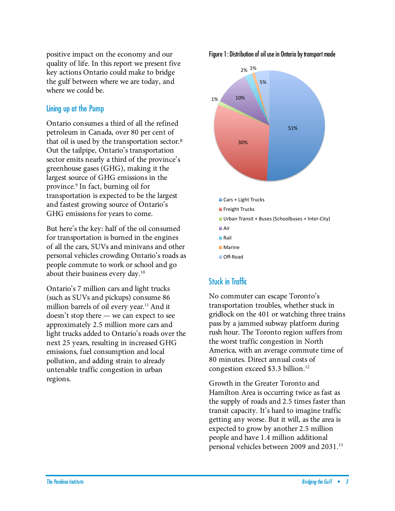positive impact on the economy and our quality of life. In this report we present five key actions Ontario could make to bridge the gulf between where we are today, and where we could be.

#### Lining up at the Pump

Ontario consumes a third of all the refined petroleum in Canada, over 80 per cent of that oil is used by the transportation sector.<sup>8</sup> Out the tailpipe, Ontario's transportation sector emits nearly a third of the province's greenhouse gases (GHG), making it the largest source of GHG emissions in the province. 9 In fact, burning oil for transportation is expected to be the largest and fastest growing source of Ontario's GHG emissions for years to come.

But here's the key: half of the oil consumed for transportation is burned in the engines of all the cars, SUVs and minivans and other personal vehicles crowding Ontario's roads as people commute to work or school and go about their business every day. 10

Ontario's 7 million cars and light trucks (such as SUVs and pickups) consume 86 million barrels of oil every year. <sup>11</sup> And it doesn't stop there — we can expect to see approximately 2.5 million more cars and light trucks added to Ontario's roads over the next 25 years, resulting in increased GHG emissions, fuel consumption and local pollution, and adding strain to already untenable traffic congestion in urban regions.

Figure 1: Distribution of oil use in Ontario by transport mode



## Stuck in Traffic

No commuter can escape Toronto's transportation troubles, whether stuck in gridlock on the 401 or watching three trains pass by a jammed subway platform during rush hour. The Toronto region suffers from the worst traffic congestion in North America, with an average commute time of 80 minutes. Direct annual costs of congestion exceed \$3.3 billion.12

Growth in the Greater Toronto and Hamilton Area is occurring twice as fast as the supply of roads and 2.5 times faster than transit capacity. It's hard to imagine traffic getting any worse. But it will, as the area is expected to grow by another 2.5 million people and have 1.4 million additional personal vehicles between 2009 and 2031.13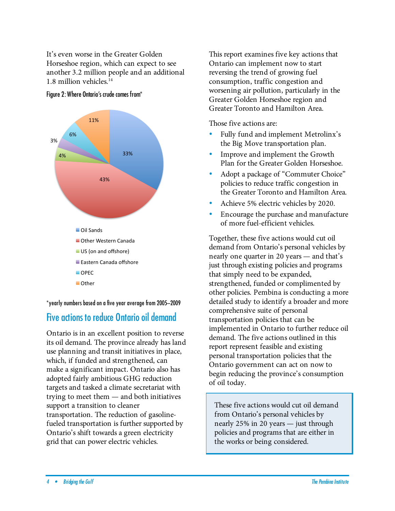It's even worse in the Greater Golden Horseshoe region, which can expect to see another 3.2 million people and an additional 1.8 million vehicles. 14



Figure 2: Where Ontario's crude comes from\*

\*yearly numbers based on a five year average from 2005–2009

## Five actions to reduce Ontario oil demand

Ontario is in an excellent position to reverse its oil demand. The province already has land use planning and transit initiatives in place, which, if funded and strengthened, can make a significant impact. Ontario also has adopted fairly ambitious GHG reduction targets and tasked a climate secretariat with trying to meet them — and both initiatives support a transition to cleaner transportation. The reduction of gasolinefueled transportation is further supported by Ontario's shift towards a green electricity grid that can power electric vehicles.

This report examines five key actions that Ontario can implement now to start reversing the trend of growing fuel consumption, traffic congestion and worsening air pollution, particularly in the Greater Golden Horseshoe region and Greater Toronto and Hamilton Area.

Those five actions are:

- Fully fund and implement Metrolinx's the Big Move transportation plan.
- Improve and implement the Growth Plan for the Greater Golden Horseshoe.
- Adopt a package of "Commuter Choice" policies to reduce traffic congestion in the Greater Toronto and Hamilton Area.
- Achieve 5% electric vehicles by 2020.
- Encourage the purchase and manufacture of more fuel-efficient vehicles.

Together, these five actions would cut oil demand from Ontario's personal vehicles by nearly one quarter in 20 years — and that's just through existing policies and programs that simply need to be expanded, strengthened, funded or complimented by other policies. Pembina is conducting a more detailed study to identify a broader and more comprehensive suite of personal transportation policies that can be implemented in Ontario to further reduce oil demand. The five actions outlined in this report represent feasible and existing personal transportation policies that the Ontario government can act on now to begin reducing the province's consumption of oil today.

These five actions would cut oil demand from Ontario's personal vehicles by nearly 25% in 20 years — just through policies and programs that are either in the works or being considered.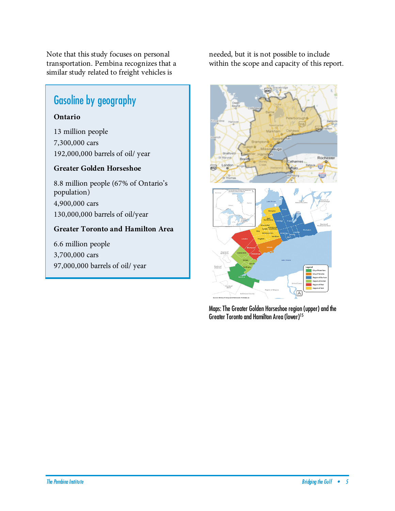Note that this study focuses on personal transportation. Pembina recognizes that a similar study related to freight vehicles is

## Gasoline by geography

#### **Ontario**

13 million people 7,300,000 cars 192,000,000 barrels of oil/ year

#### **Greater Golden Horseshoe**

8.8 million people (67% of Ontario's population) 4,900,000 cars 130,000,000 barrels of oil/year

#### **Greater Toronto and Hamilton Area**

6.6 million people 3,700,000 cars 97,000,000 barrels of oil/ year needed, but it is not possible to include within the scope and capacity of this report.



Maps: The Greater Golden Horseshoe region (upper) and the Greater Toronto and Hamilton Area(lower) 15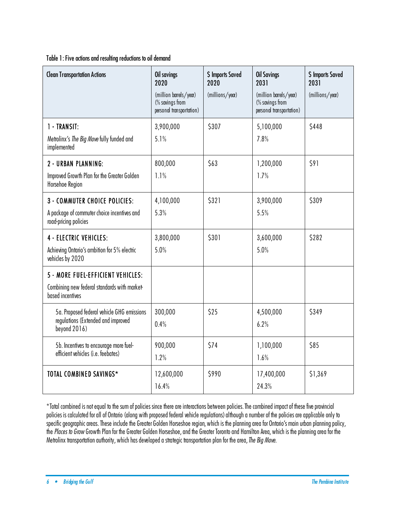Table 1: Five actions and resulting reductions to oil demand

| <b>Clean Transportation Actions</b>                                                                          | Oil savings<br>2020<br>(million barrels/year)<br>(% savings from<br>personal transportation) | \$ Imports Saved<br>2020<br>(millions/year) | <b>Oil Savings</b><br>2031<br>(million barrels/year)<br>(% savings from<br>personal transportation) | <b>\$ Imports Saved</b><br>2031<br>(millions/year) |
|--------------------------------------------------------------------------------------------------------------|----------------------------------------------------------------------------------------------|---------------------------------------------|-----------------------------------------------------------------------------------------------------|----------------------------------------------------|
| 1 - TRANSIT:<br>Metrolinx's The Big Move fully funded and<br>implemented                                     | 3,900,000<br>5.1%                                                                            | \$307                                       | 5,100,000<br>7.8%                                                                                   | \$448                                              |
| 2 - URBAN PLANNING:<br>Improved Growth Plan for the Greater Golden<br>Horsehoe Region                        | 800,000<br>1.1%                                                                              | \$63                                        | 1,200,000<br>1.7%                                                                                   | \$91                                               |
| <b>3 - COMMUTER CHOICE POLICIES:</b><br>A package of commuter choice incentives and<br>road-pricing policies | 4,100,000<br>5.3%                                                                            | \$321                                       | 3,900,000<br>5.5%                                                                                   | \$309                                              |
| <b>4 - ELECTRIC VEHICLES:</b><br>Achieving Ontario's ambition for 5% electric<br>vehicles by 2020            | 3,800,000<br>5.0%                                                                            | \$301                                       | 3,600,000<br>5.0%                                                                                   | \$282                                              |
| 5 - MORE FUEL-EFFICIENT VEHICLES:<br>Combining new federal standards with market-<br>based incentives        |                                                                                              |                                             |                                                                                                     |                                                    |
| 5a. Proposed federal vehicle GHG emissions<br>regulations (Extended and improved<br>beyond 2016)             | 300,000<br>0.4%                                                                              | \$25                                        | 4,500,000<br>6.2%                                                                                   | \$349                                              |
| 5b. Incentives to encourage more fuel-<br>efficient vehicles (i.e. feebates)                                 | 900,000<br>1.2%                                                                              | \$74                                        | 1,100,000<br>1.6%                                                                                   | \$85                                               |
| TOTAL COMBINED SAVINGS*                                                                                      | 12,600,000<br>16.4%                                                                          | \$990                                       | 17,400,000<br>24.3%                                                                                 | \$1,369                                            |

\*Total combined is not equal to the sum of policies since there are interactions between policies.The combined impact of these five provincial policies is calculated for all of Ontario (along with proposed federal vehicle regulations) although a number of the policies are applicable only to specific geographic areas. These include the Greater Golden Horseshoe region, which is the planning area for Ontario's main urban planning policy, the Places to Grow Growth Plan for the Greater Golden Horseshoe, and the Greater Toronto and Hamilton Area, which is the planning area for the Metrolinx transportation authority, which has developed a strategic transportation plan for the area, The Big Move.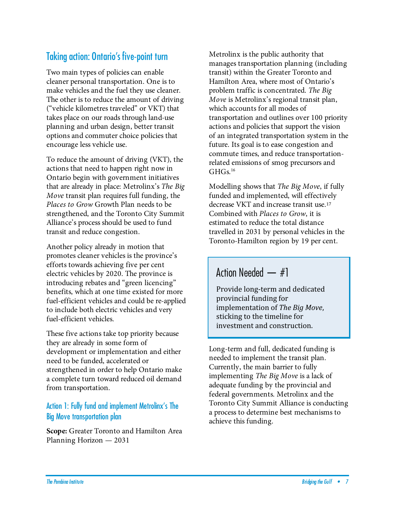## Taking action: Ontario's five-point turn

Two main types of policies can enable cleaner personal transportation. One is to make vehicles and the fuel they use cleaner. The other is to reduce the amount of driving ("vehicle kilometres traveled" or VKT) that takes place on our roads through land-use planning and urban design, better transit options and commuter choice policies that encourage less vehicle use.

To reduce the amount of driving (VKT), the actions that need to happen right now in Ontario begin with government initiatives that are already in place: Metrolinx's The Big Move transit plan requires full funding, the Places to Grow Growth Plan needs to be strengthened, and the Toronto City Summit Alliance's process should be used to fund transit and reduce congestion.

Another policy already in motion that promotes cleaner vehicles is the province's efforts towards achieving five per cent electric vehicles by 2020. The province is introducing rebates and "green licencing" benefits, which at one time existed for more fuel-efficient vehicles and could be re-applied to include both electric vehicles and very fuel-efficient vehicles.

These five actions take top priority because they are already in some form of development or implementation and either need to be funded, accelerated or strengthened in order to help Ontario make a complete turn toward reduced oil demand from transportation.

#### Action 1: Fully fund and implement Metrolinx's The Big Move transportation plan

**Scope:** Greater Toronto and Hamilton Area Planning Horizon — 2031

Metrolinx is the public authority that manages transportation planning (including transit) within the Greater Toronto and Hamilton Area, where most of Ontario's problem traffic is concentrated. The Big Move is Metrolinx's regional transit plan, which accounts for all modes of transportation and outlines over 100 priority actions and policies that support the vision of an integrated transportation system in the future. Its goal is to ease congestion and commute times, and reduce transportationrelated emissions of smog precursors and  $GHGs<sup>16</sup>$ 

Modelling shows that The Big Move, if fully funded and implemented, will effectively decrease VKT and increase transit use.<sup>17</sup> Combined with Places to Grow, it is estimated to reduce the total distance travelled in 2031 by personal vehicles in the Toronto-Hamilton region by 19 per cent.

## Action Needed — #1

Provide
long‐term
and
dedicated provincial
funding
for implementation
of *The
Big
Move*, sticking to the timeline for investment
and
construction.

Long-term and full, dedicated funding is needed to implement the transit plan. Currently, the main barrier to fully implementing The Big Move is a lack of adequate funding by the provincial and federal governments. Metrolinx and the Toronto City Summit Alliance is conducting a process to determine best mechanisms to achieve this funding.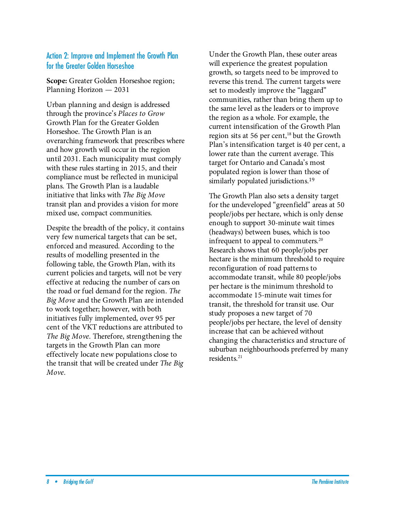#### Action 2: Improve and Implement the Growth Plan for the Greater Golden Horseshoe

**Scope:** Greater Golden Horseshoe region; Planning Horizon — 2031

Urban planning and design is addressed through the province's Places to Grow Growth Plan for the Greater Golden Horseshoe. The Growth Plan is an overarching framework that prescribes where and how growth will occur in the region until 2031. Each municipality must comply with these rules starting in 2015, and their compliance must be reflected in municipal plans. The Growth Plan is a laudable initiative that links with The Big Move transit plan and provides a vision for more mixed use, compact communities.

Despite the breadth of the policy, it contains very few numerical targets that can be set, enforced and measured. According to the results of modelling presented in the following table, the Growth Plan, with its current policies and targets, will not be very effective at reducing the number of cars on the road or fuel demand for the region. The Big Move and the Growth Plan are intended to work together; however, with both initiatives fully implemented, over 95 per cent of the VKT reductions are attributed to The Big Move. Therefore, strengthening the targets in the Growth Plan can more effectively locate new populations close to the transit that will be created under The Big Move.

Under the Growth Plan, these outer areas will experience the greatest population growth, so targets need to be improved to reverse this trend. The current targets were set to modestly improve the "laggard" communities, rather than bring them up to the same level as the leaders or to improve the region as a whole. For example, the current intensification of the Growth Plan region sits at 56 per cent, $18$  but the Growth Plan's intensification target is 40 per cent, a lower rate than the current average. This target for Ontario and Canada's most populated region is lower than those of similarly populated jurisdictions.<sup>19</sup>

The Growth Plan also sets a density target for the undeveloped "greenfield" areas at 50 people/jobs per hectare, which is only dense enough to support 30-minute wait times (headways) between buses, which is too infrequent to appeal to commuters. 20 Research shows that 60 people/jobs per hectare is the minimum threshold to require reconfiguration of road patterns to accommodate transit, while 80 people/jobs per hectare is the minimum threshold to accommodate 15-minute wait times for transit, the threshold for transit use. Our study proposes a new target of 70 people/jobs per hectare, the level of density increase that can be achieved without changing the characteristics and structure of suburban neighbourhoods preferred by many residents. 21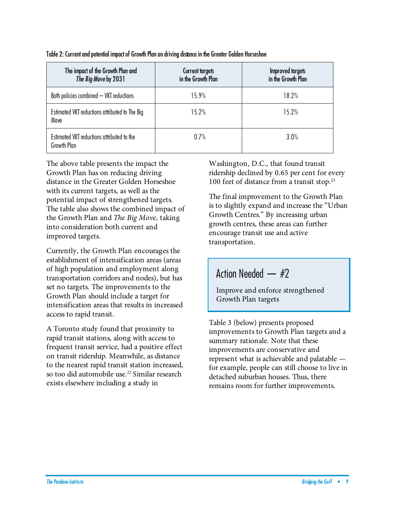| The impact of the Growth Plan and<br>The Big Move by 2031 | <b>Current targets</b><br>in the Growth Plan | <b>Improved targets</b><br>in the Growth Plan |
|-----------------------------------------------------------|----------------------------------------------|-----------------------------------------------|
| Both policies combined - VKT reductions                   | 15.9%                                        | 18.2%                                         |
| Estimated VKT reductions attributed to The Big<br>Move    | 15.2%                                        | 15.2%                                         |
| Estimated VKT reductions attributed to the<br>Growth Plan | 0.7%                                         | 3.0%                                          |

Table 2: Current and potential impact of Growth Plan on driving distance in the Greater Golden Horseshoe

The above table presents the impact the Growth Plan has on reducing driving distance in the Greater Golden Horseshoe with its current targets, as well as the potential impact of strengthened targets. The table also shows the combined impact of the Growth Plan and The Big Move, taking into consideration both current and improved targets.

Currently, the Growth Plan encourages the establishment of intensification areas (areas of high population and employment along transportation corridors and nodes), but has set no targets. The improvements to the Growth Plan should include a target for intensification areas that results in increased access to rapid transit.

A Toronto study found that proximity to rapid transit stations, along with access to frequent transit service, had a positive effect on transit ridership. Meanwhile, as distance to the nearest rapid transit station increased, so too did automobile use.<sup>22</sup> Similar research exists elsewhere including a study in

Washington, D.C., that found transit ridership declined by 0.65 per cent for every 100 feet of distance from a transit stop.<sup>23</sup>

The final improvement to the Growth Plan is to slightly expand and increase the "Urban Growth Centres." By increasing urban growth centres, these areas can further encourage transit use and active transportation.

## Action Needed — #2

Improve and enforce strengthened Growth Plan targets

Table 3 (below) presents proposed improvements to Growth Plan targets and a summary rationale. Note that these improvements are conservative and represent what is achievable and palatable for example, people can still choose to live in detached suburban houses. Thus, there remains room for further improvements.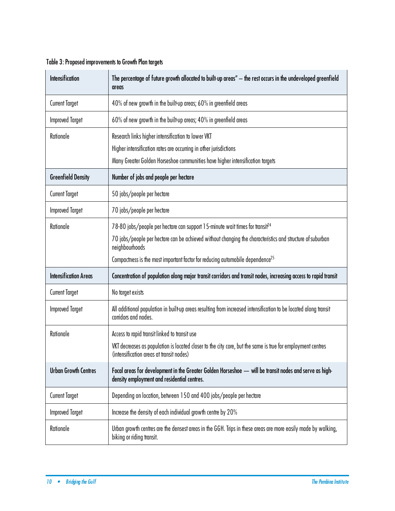| Table 3: Proposed improvements to Growth Plan targets |  |
|-------------------------------------------------------|--|
|-------------------------------------------------------|--|

| <b>Intensification</b>       | The percentage of future growth allocated to built-up areas" — the rest occurs in the undeveloped greenfield<br>areas                                   |
|------------------------------|---------------------------------------------------------------------------------------------------------------------------------------------------------|
| <b>Current Target</b>        | 40% of new growth in the built-up areas; 60% in greenfield areas                                                                                        |
| <b>Improved Target</b>       | 60% of new growth in the built-up areas; 40% in greenfield areas                                                                                        |
| Rationale                    | Research links higher intensification to lower VKT                                                                                                      |
|                              | Higher intensification rates are occurring in other jurisdictions<br>Many Greater Golden Horseshoe communities have higher intensification targets      |
|                              |                                                                                                                                                         |
| <b>Greenfield Density</b>    | Number of jobs and people per hectare                                                                                                                   |
| <b>Current Target</b>        | 50 jobs/people per hectare                                                                                                                              |
| <b>Improved Target</b>       | 70 jobs/people per hectare                                                                                                                              |
| Rationale                    | 78-80 jobs/people per hectare can support 15-minute wait times for transit <sup>24</sup>                                                                |
|                              | 70 jobs/people per hectare can be achieved without changing the characteristics and structure of suburban<br>neighbourhoods                             |
|                              | Compactness is the most important factor for reducing automobile dependence <sup>25</sup>                                                               |
| <b>Intensification Areas</b> | Concentration of population along major transit corridors and transit nodes, increasing access to rapid transit                                         |
| <b>Current Target</b>        | No target exists                                                                                                                                        |
| <b>Improved Target</b>       | All additional population in built-up areas resulting from increased intensification to be located along transit<br>corridors and nodes.                |
| Rationale                    | Access to rapid transit linked to transit use                                                                                                           |
|                              | VKT decreases as population is located closer to the city core, but the same is true for employment centres<br>(intensification areas at transit nodes) |
| <b>Urban Growth Centres</b>  | Focal areas for development in the Greater Golden Horseshoe — will be transit nodes and serve as high-<br>density employment and residential centres.   |
| <b>Current Target</b>        | Depending on location, between 150 and 400 jobs/people per hectare                                                                                      |
| <b>Improved Target</b>       | Increase the density of each individual growth centre by 20%                                                                                            |
| Rationale                    | Urban growth centres are the densest areas in the GGH. Trips in these areas are more easily made by walking,<br>biking or riding transit.               |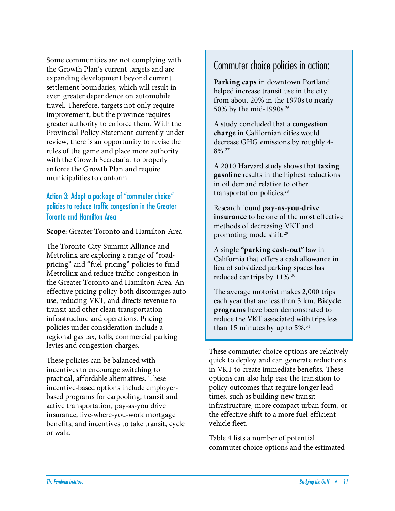Some communities are not complying with the Growth Plan's current targets and are expanding development beyond current settlement boundaries, which will result in even greater dependence on automobile travel. Therefore, targets not only require improvement, but the province requires greater authority to enforce them. With the Provincial Policy Statement currently under review, there is an opportunity to revise the rules of the game and place more authority with the Growth Secretariat to properly enforce the Growth Plan and require municipalities to conform.

### Action 3: Adopt a package of "commuter choice" policies to reduce traffic congestion in the Greater Toronto and Hamilton Area

**Scope:** Greater Toronto and Hamilton Area

The Toronto City Summit Alliance and Metrolinx are exploring a range of "roadpricing" and "fuel-pricing" policies to fund Metrolinx and reduce traffic congestion in the Greater Toronto and Hamilton Area. An effective pricing policy both discourages auto use, reducing VKT, and directs revenue to transit and other clean transportation infrastructure and operations. Pricing policies under consideration include a regional gas tax, tolls, commercial parking levies and congestion charges.

These policies can be balanced with incentives to encourage switching to practical, affordable alternatives. These incentive-based options include employerbased programs for carpooling, transit and active transportation, pay-as-you drive insurance, live-where-you-work mortgage benefits, and incentives to take transit, cycle or walk.

## Commuter choice policies in action:

**Parking caps** in downtown Portland helped increase transit use in the city from about 20% in the 1970s to nearly 50% by the mid-1990s.<sup>26</sup>

A study concluded that a **congestion charge** in Californian cities would decrease GHG emissions by roughly 4- 8%.27

A 2010 Harvard study shows that **taxing gasoline** results in the highest reductions in oil demand relative to other transportation policies. 28

Research found **pay-as-you-drive insurance** to be one of the most effective methods of decreasing VKT and promoting mode shift.29

A single **"parking cash-out"** law in California that offers a cash allowance in lieu of subsidized parking spaces has reduced car trips by 11%.<sup>30</sup>

The average motorist makes 2,000 trips each year that are less than 3 km. **Bicycle programs** have been demonstrated to reduce the VKT associated with trips less than 15 minutes by up to 5%. 31

These commuter choice options are relatively quick to deploy and can generate reductions in VKT to create immediate benefits. These options can also help ease the transition to policy outcomes that require longer lead times, such as building new transit infrastructure, more compact urban form, or the effective shift to a more fuel-efficient vehicle fleet.

Table 4 lists a number of potential commuter choice options and the estimated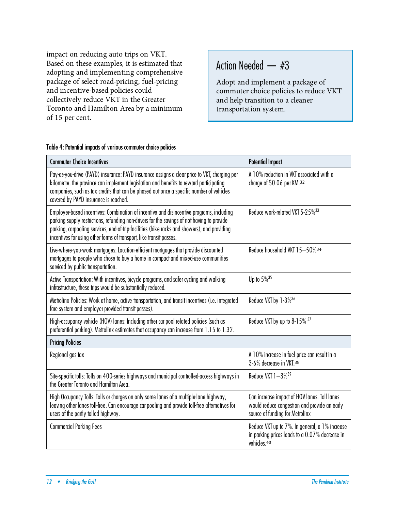impact on reducing auto trips on VKT. Based on these examples, it is estimated that adopting and implementing comprehensive package of select road-pricing, fuel-pricing and incentive-based policies could collectively reduce VKT in the Greater Toronto and Hamilton Area by a minimum of 15 per cent.

## Action Needed — #3

Adopt and implement a package of commuter choice policies to reduce VKT and help transition to a cleaner transportation system.

| Table 4: Potential impacts of various commuter choice policies |  |  |  |
|----------------------------------------------------------------|--|--|--|
|                                                                |  |  |  |

| <b>Commuter Choice Incentives</b>                                                                                                                                                                                                                                                                                                                              | <b>Potential Impact</b>                                                                                                         |
|----------------------------------------------------------------------------------------------------------------------------------------------------------------------------------------------------------------------------------------------------------------------------------------------------------------------------------------------------------------|---------------------------------------------------------------------------------------------------------------------------------|
| Pay-as-you-drive (PAYD) insurance: PAYD insurance assigns a clear price to VKT, charging per<br>kilometre. the province can implement legislation and benefits to reward participating<br>companies, such as tax credits that can be phased out once a specific number of vehicles<br>covered by PAYD insurance is reached.                                    | A 10% reduction in VKT associated with a<br>charge of \$0.06 per KM.32                                                          |
| Employer-based incentives: Combination of incentive and disincentive programs, including<br>parking supply restrictions, refunding non-drivers for the savings of not having to provide<br>parking, carpooling services, end-of-trip-facilities (bike racks and showers), and providing<br>incentives for using other forms of transport, like transit passes. | Reduce work-related VKT 5-25% <sup>33</sup>                                                                                     |
| Live-where-you-work mortgages: Location-efficient mortgages that provide discounted<br>mortgages to people who chose to buy a home in compact and mixed-use communities<br>serviced by public transportation.                                                                                                                                                  | Reduce household VKT 15-50%34                                                                                                   |
| Active Transportation: With incentives, bicycle programs, and safer cycling and walking<br>infrastructure, these trips would be substantially reduced.                                                                                                                                                                                                         | Up to $5\%^{35}$                                                                                                                |
| Metrolinx Policies: Work at home, active transportation, and transit incentives (i.e. integrated<br>fare system and employer provided transit passes).                                                                                                                                                                                                         | Reduce VKT by 1-3% <sup>36</sup>                                                                                                |
| High-occupancy vehicle (HOV) lanes: Including other car pool related policies (such as<br>preferential parking). Metrolinx estimates that occupancy can increase from 1.15 to 1.32.                                                                                                                                                                            | Reduce VKT by up to 8-15% 37                                                                                                    |
| <b>Pricing Policies</b>                                                                                                                                                                                                                                                                                                                                        |                                                                                                                                 |
| Regional gas tax                                                                                                                                                                                                                                                                                                                                               | A 10% increase in fuel price can result in a<br>3-6% decrease in VKT.38                                                         |
| Site-specific tolls: Tolls on 400-series highways and municipal controlled-access highways in<br>the Greater Toronto and Hamilton Area.                                                                                                                                                                                                                        | Reduce VKT 1-3% <sup>39</sup>                                                                                                   |
| High Occupancy Tolls: Tolls or charges on only some lanes of a multiple-lane highway,<br>leaving other lanes toll-free. Can encourage car pooling and provide toll-free alternatives for<br>users of the partly tolled highway.                                                                                                                                | Can increase impact of HOV lanes. Toll lanes<br>would reduce congestion and provide an early<br>source of funding for Metrolinx |
| <b>Commercial Parking Fees</b>                                                                                                                                                                                                                                                                                                                                 | Reduce VKT up to 7%. In general, a 1% increase<br>in parking prices leads to a 0.07% decrease in<br>vehicles.40                 |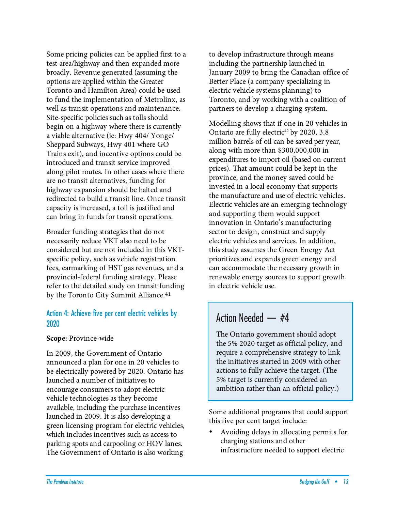Some pricing policies can be applied first to a test area/highway and then expanded more broadly. Revenue generated (assuming the options are applied within the Greater Toronto and Hamilton Area) could be used to fund the implementation of Metrolinx, as well as transit operations and maintenance. Site-specific policies such as tolls should begin on a highway where there is currently a viable alternative (ie: Hwy 404/ Yonge/ Sheppard Subways, Hwy 401 where GO Trains exit), and incentive options could be introduced and transit service improved along pilot routes. In other cases where there are no transit alternatives, funding for highway expansion should be halted and redirected to build a transit line. Once transit capacity is increased, a toll is justified and can bring in funds for transit operations.

Broader funding strategies that do not necessarily reduce VKT also need to be considered but are not included in this VKTspecific policy, such as vehicle registration fees, earmarking of HST gas revenues, and a provincial-federal funding strategy. Please refer to the detailed study on transit funding by the Toronto City Summit Alliance.<sup>41</sup>

#### Action 4: Achieve five per cent electric vehicles by 2020

#### **Scope:** Province-wide

In 2009, the Government of Ontario announced a plan for one in 20 vehicles to be electrically powered by 2020. Ontario has launched a number of initiatives to encourage consumers to adopt electric vehicle technologies as they become available, including the purchase incentives launched in 2009. It is also developing a green licensing program for electric vehicles, which includes incentives such as access to parking spots and carpooling or HOV lanes. The Government of Ontario is also working

to develop infrastructure through means including the partnership launched in January 2009 to bring the Canadian office of Better Place (a company specializing in electric vehicle systems planning) to Toronto, and by working with a coalition of partners to develop a charging system.

Modelling shows that if one in 20 vehicles in Ontario are fully electric<sup>42</sup> by 2020, 3.8 million barrels of oil can be saved per year, along with more than \$300,000,000 in expenditures to import oil (based on current prices). That amount could be kept in the province, and the money saved could be invested in a local economy that supports the manufacture and use of electric vehicles. Electric vehicles are an emerging technology and supporting them would support innovation in Ontario's manufacturing sector to design, construct and supply electric vehicles and services. In addition, this study assumes the Green Energy Act prioritizes and expands green energy and can accommodate the necessary growth in renewable energy sources to support growth in electric vehicle use.

## Action Needed — #4

The Ontario government should adopt the 5% 2020 target as official policy, and require a comprehensive strategy to link the initiatives started in 2009 with other actions to fully achieve the target. (The 5% target is currently considered an ambition rather than an official policy.)

Some additional programs that could support this five per cent target include:

• Avoiding delays in allocating permits for charging stations and other infrastructure needed to support electric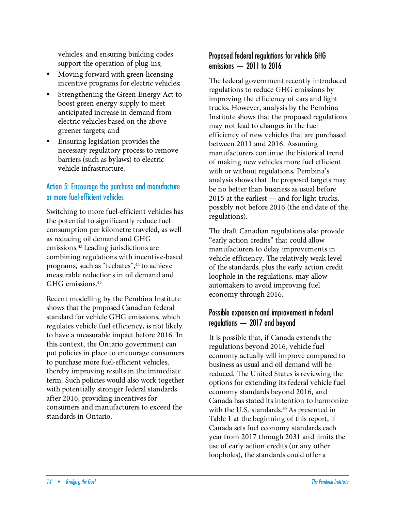vehicles, and ensuring building codes support the operation of plug-ins;

- Moving forward with green licensing incentive programs for electric vehicles;
- Strengthening the Green Energy Act to boost green energy supply to meet anticipated increase in demand from electric vehicles based on the above greener targets; and
- Ensuring legislation provides the necessary regulatory process to remove barriers (such as bylaws) to electric vehicle infrastructure.

## Action 5: Encourage the purchase and manufacture or more fuel-efficient vehicles

Switching to more fuel-efficient vehicles has the potential to significantly reduce fuel consumption per kilometre traveled, as well as reducing oil demand and GHG emissions. 43 Leading jurisdictions are combining regulations with incentive-based programs, such as "feebates", 44 to achieve measurable reductions in oil demand and GHG emissions. 45

Recent modelling by the Pembina Institute shows that the proposed Canadian federal standard for vehicle GHG emissions, which regulates vehicle fuel efficiency, is not likely to have a measurable impact before 2016. In this context, the Ontario government can put policies in place to encourage consumers to purchase more fuel-efficient vehicles, thereby improving results in the immediate term. Such policies would also work together with potentially stronger federal standards after 2016, providing incentives for consumers and manufacturers to exceed the standards in Ontario.

## Proposed federal regulations for vehicle GHG emissions — 2011 to 2016

The federal government recently introduced regulations to reduce GHG emissions by improving the efficiency of cars and light trucks. However, analysis by the Pembina Institute shows that the proposed regulations may not lead to changes in the fuel efficiency of new vehicles that are purchased between 2011 and 2016. Assuming manufacturers continue the historical trend of making new vehicles more fuel efficient with or without regulations, Pembina's analysis shows that the proposed targets may be no better than business as usual before 2015 at the earliest — and for light trucks, possibly not before 2016 (the end date of the regulations).

The draft Canadian regulations also provide "early action credits" that could allow manufacturers to delay improvements in vehicle efficiency. The relatively weak level of the standards, plus the early action credit loophole in the regulations, may allow automakers to avoid improving fuel economy through 2016.

### Possible expansion and improvement in federal regulations — 2017 and beyond

It is possible that, if Canada extends the regulations beyond 2016, vehicle fuel economy actually will improve compared to business as usual and oil demand will be reduced. The United States is reviewing the options for extending its federal vehicle fuel economy standards beyond 2016, and Canada has stated its intention to harmonize with the U.S. standards. 46 As presented in Table 1 at the beginning of this report, if Canada sets fuel economy standards each year from 2017 through 2031 and limits the use of early action credits (or any other loopholes), the standards could offer a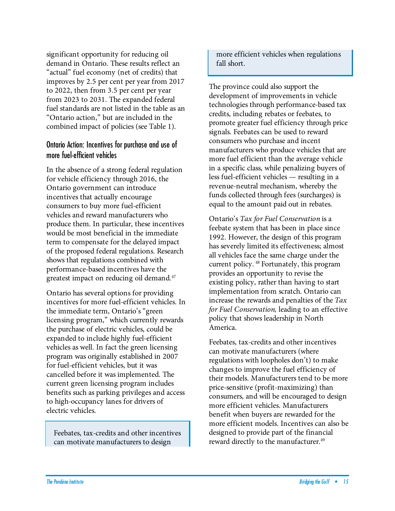significant opportunity for reducing oil demand in Ontario. These results reflect an "actual" fuel economy (net of credits) that improves by 2.5 per cent per year from 2017 to 2022, then from 3.5 per cent per year from 2023 to 2031. The expanded federal fuel standards are not listed in the table as an "Ontario action," but are included in the combined impact of policies (see Table 1).

#### Ontario Action: Incentives for purchase and use of more fuel-efficient vehicles

In the absence of a strong federal regulation for vehicle efficiency through 2016, the Ontario government can introduce incentives that actually encourage consumers to buy more fuel-efficient vehicles and reward manufacturers who produce them. In particular, these incentives would be most beneficial in the immediate term to compensate for the delayed impact of the proposed federal regulations. Research shows that regulations combined with performance-based incentives have the greatest impact on reducing oil demand. 47

Ontario has several options for providing incentives for more fuel-efficient vehicles. In the immediate term, Ontario's "green licensing program," which currently rewards the purchase of electric vehicles, could be expanded to include highly fuel-efficient vehicles as well. In fact the green licensing program was originally established in 2007 for fuel-efficient vehicles, but it was cancelled before it was implemented. The current green licensing program includes benefits such as parking privileges and access to high-occupancy lanes for drivers of electric vehicles.

Feebates, tax-credits and other incentives can motivate manufacturers to design

more efficient vehicles when regulations fall short.

The province could also support the development of improvements in vehicle technologies through performance-based tax credits, including rebates or feebates, to promote greater fuel efficiency through price signals. Feebates can be used to reward consumers who purchase and incent manufacturers who produce vehicles that are more fuel efficient than the average vehicle in a specific class, while penalizing buyers of less fuel-efficient vehicles — resulting in a revenue-neutral mechanism, whereby the funds collected through fees (surcharges) is equal to the amount paid out in rebates.

Ontario's Tax for Fuel Conservation is a feebate system that has been in place since 1992. However, the design of this program has severely limited its effectiveness; almost all vehicles face the same charge under the current policy. 48 Fortunately, this program provides an opportunity to revise the existing policy, rather than having to start implementation from scratch. Ontario can increase the rewards and penalties of the Tax for Fuel Conservation, leading to an effective policy that shows leadership in North America.

Feebates, tax-credits and other incentives can motivate manufacturers (where regulations with loopholes don't) to make changes to improve the fuel efficiency of their models. Manufacturers tend to be more price-sensitive (profit-maximizing) than consumers, and will be encouraged to design more efficient vehicles. Manufacturers benefit when buyers are rewarded for the more efficient models. Incentives can also be designed to provide part of the financial reward directly to the manufacturer. 49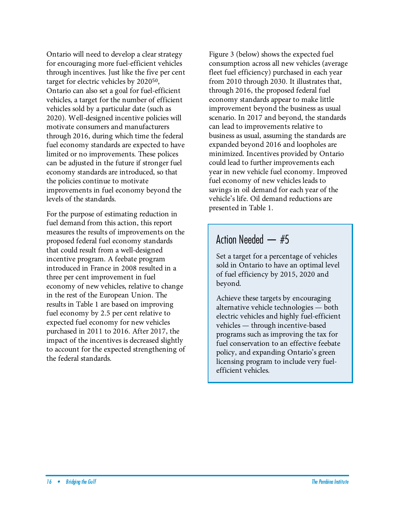Ontario will need to develop a clear strategy for encouraging more fuel-efficient vehicles through incentives. Just like the five per cent target for electric vehicles by 2020<sup>50</sup>, Ontario can also set a goal for fuel-efficient vehicles, a target for the number of efficient vehicles sold by a particular date (such as 2020). Well-designed incentive policies will motivate consumers and manufacturers through 2016, during which time the federal fuel economy standards are expected to have limited or no improvements. These polices can be adjusted in the future if stronger fuel economy standards are introduced, so that the policies continue to motivate improvements in fuel economy beyond the levels of the standards.

For the purpose of estimating reduction in fuel demand from this action, this report measures the results of improvements on the proposed federal fuel economy standards that could result from a well-designed incentive program. A feebate program introduced in France in 2008 resulted in a three per cent improvement in fuel economy of new vehicles, relative to change in the rest of the European Union. The results in Table 1 are based on improving fuel economy by 2.5 per cent relative to expected fuel economy for new vehicles purchased in 2011 to 2016. After 2017, the impact of the incentives is decreased slightly to account for the expected strengthening of the federal standards.

Figure 3 (below) shows the expected fuel consumption across all new vehicles (average fleet fuel efficiency) purchased in each year from 2010 through 2030. It illustrates that, through 2016, the proposed federal fuel economy standards appear to make little improvement beyond the business as usual scenario. In 2017 and beyond, the standards can lead to improvements relative to business as usual, assuming the standards are expanded beyond 2016 and loopholes are minimized. Incentives provided by Ontario could lead to further improvements each year in new vehicle fuel economy. Improved fuel economy of new vehicles leads to savings in oil demand for each year of the vehicle's life. Oil demand reductions are presented in Table 1.

## Action Needed — #5

Set a target for a percentage of vehicles sold in Ontario to have an optimal level of fuel efficiency by 2015, 2020 and beyond.

Achieve these targets by encouraging alternative vehicle technologies — both electric vehicles and highly fuel-efficient vehicles — through incentive-based programs such as improving the tax for fuel conservation to an effective feebate policy, and expanding Ontario's green licensing program to include very fuelefficient vehicles.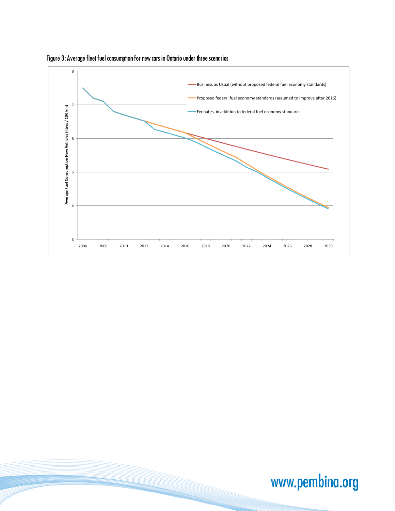

Figure 3: Average fleet fuel consumption for new cars in Ontario under three scenarios

www.pembina.org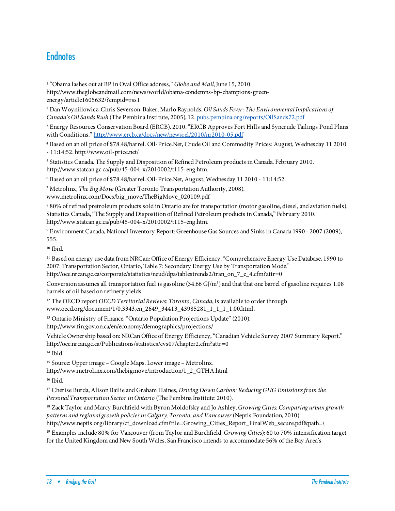## **Endnotes**

I

<sup>1</sup> "Obama lashes out at BP in Oval Office address," Globe and Mail, June 15, 2010.

http://www.theglobeandmail.com/news/world/obama-condemns-bp-champions-greenenergy/article1605632/?cmpid=rss1

<sup>2</sup> Dan Woynillowicz, Chris Severson-Baker, Marlo Raynolds, Oil Sands Fever: The Environmental Implications of Canada's Oil Sands Rush (The Pembina Institute, 2005), 12. pubs.pembina.org/reports/OilSands72.pdf

<sup>3</sup> Energy Resources Conservation Board (ERCB). 2010. "ERCB Approves Fort Hills and Syncrude Tailings Pond Plans with Conditions." http://www.ercb.ca/docs/new/newsrel/2010/nr2010-05.pdf

4 Based on an oil price of \$78.48/barrel. Oil-Price.Net, Crude Oil and Commodity Prices: August, Wednesday 11 2010

- 11:14:52. http://www.oil-price.net/

5 Statistics Canada. The Supply and Disposition of Refined Petroleum products in Canada. February 2010. http://www.statcan.gc.ca/pub/45-004-x/2010002/t115-eng.htm.

6 Based on an oil price of \$78.48/barrel. Oil-Price.Net, August, Wednesday 11 2010 - 11:14:52.

<sup>7</sup> Metrolinx, The Big Move (Greater Toronto Transportation Authority, 2008).

www.metrolinx.com/Docs/big\_move/TheBigMove\_020109.pdf

8 80% of refined pretroleum products sold in Ontario are for transportation (motor gasoline, diesel, and aviation fuels). Statistics Canada,"The Supply and Disposition of Refined Petroleum products in Canada," February 2010. http://www.statcan.gc.ca/pub/45-004-x/2010002/t115-eng.htm.

<sup>9</sup> Environment Canada, National Inventory Report: Greenhouse Gas Sources and Sinks in Canada 1990– 2007 (2009), 555.

<sup>10</sup> Ibid.

<sup>11</sup> Based on energy use data from NRCan: Office of Energy Efficiency, "Comprehensive Energy Use Database, 1990 to 2007: Transportation Sector, Ontario, Table 7: Secondary Energy Use by Transportation Mode." http://oee.nrcan.gc.ca/corporate/statistics/neud/dpa/tablestrends2/tran\_on\_7\_e\_4.cfm?attr=0

Conversion assumes all transportation fuel is gasoline  $(34.66 \text{ G/m}^3)$  and that that one barrel of gasoline requires 1.08 barrels of oil based on refinery yields.

<sup>12</sup> The OECD report OECD Territorial Reviews: Toronto, Canada, is available to order through www.oecd.org/document/1/0,3343,en\_2649\_34413\_43985281\_1\_1\_1\_1,00.html.

<sup>13</sup> Ontario Ministry of Finance, "Ontario Population Projections Update" (2010).

http://www.fin.gov.on.ca/en/economy/demographics/projections/

Vehicle Ownership based on: NRCan Office of Energy Efficiency, "Canadian Vehicle Survey 2007 Summary Report." http://oee.nrcan.gc.ca/Publications/statistics/cvs07/chapter2.cfm?attr=0

<sup>14</sup> Ibid.

<sup>15</sup> Source: Upper image – Google Maps. Lower image – Metrolinx.

http://www.metrolinx.com/thebigmove/introduction/1\_2\_GTHA.html

<sup>16</sup> Ibid.

<sup>17</sup> Cherise Burda, Alison Bailie and Graham Haines, Driving Down Carbon: Reducing GHG Emissions from the Personal Transportation Sector in Ontario (The Pembina Institute: 2010).

<sup>18</sup> Zack Taylor and Marcy Burchfield with Byron Moldofsky and Jo Ashley, Growing Cities: Comparing urban growth patterns and regional growth policies in Calgary, Toronto, and Vancouver (Neptis Foundation, 2010). http://www.neptis.org/library/cf\_download.cfm?file=Growing\_Cities\_Report\_FinalWeb\_secure.pdf&path=\

<sup>19</sup> Examples include 80% for Vancouver (from Taylor and Burchfield, Growing Cities); 60 to 70% intensification target for the United Kingdom and New South Wales. San Francisco intends to accommodate 56% of the Bay Area's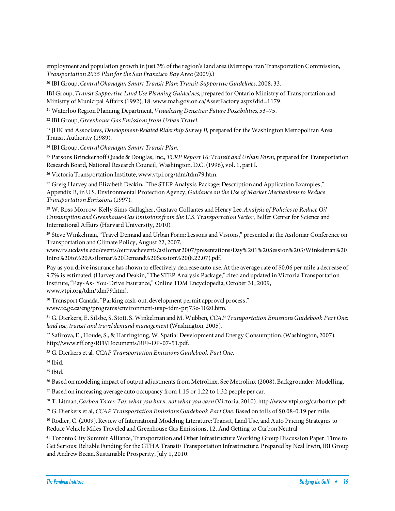employment and population growth in just 3% of the region's land area (Metropolitan Transportation Commission, Transportation 2035 Plan for the San Francisco Bay Area (2009).)

<sup>20</sup> IBI Group, Central Okanagan Smart Transit Plan: Transit-Supportive Guidelines, 2008, 33.

IBI Group, Transit Supportive Land Use Planning Guidelines, prepared for Ontario Ministry of Transportation and Ministry of Municipal Affairs (1992), 18. www.mah.gov.on.ca/AssetFactory.aspx?did=1179.

<sup>21</sup> Waterloo Region Planning Department, Visualizing Densities: Future Possibilities, 53–75.

<sup>22</sup> IBI Group, Greenhouse Gas Emissions from Urban Travel.

<sup>23</sup> JHK and Associates, *Development-Related Ridership Survey II*, prepared for the Washington Metropolitan Area Transit Authority (1989).

<sup>24</sup> IBI Group, Central Okanagan Smart Transit Plan.

<sup>25</sup> Parsons Brinckerhoff Quade & Douglas, Inc., *TCRP Report 16: Transit and Urban Form*, prepared for Transportation Research Board, National Research Council, Washington, D.C. (1996), vol. 1, part I.

<sup>26</sup> Victoria Transportation Institute, www.vtpi.org/tdm/tdm79.htm.

<sup>27</sup> Greig Harvey and Elizabeth Deakin, "The STEP Analysis Package: Description and Application Examples," Appendix B, in U.S. Environmental Protection Agency, Guidance on the Use of Market Mechanisms to Reduce Transportation Emissions (1997).

<sup>28</sup> W. Ross Morrow, Kelly Sims Gallagher, Gustavo Collantes and Henry Lee, Analysis of Policies to Reduce Oil Consumption and Greenhouse-Gas Emissions from the U.S. Transportation Sector, Belfer Center for Science and International Affairs (Harvard University, 2010).

<sup>29</sup> Steve Winkelman, "Travel Demand and Urban Form: Lessons and Visions," presented at the Asilomar Conference on Transportation and Climate Policy, August 22, 2007,

www.its.ucdavis.edu/events/outreachevents/asilomar2007/presentations/Day%201%20Session%203/Winkelman%20 Intro%20to%20Asilomar%20Demand%20Session%20(8.22.07).pdf.

Pay as you drive insurance has shown to effectively decrease auto use. At the average rate of \$0.06 per mile a decrease of 9.7% is estimated. (Harvey and Deakin, "The STEP Analysis Package," cited and updated in Victoria Transportation Institute, "Pay-As- You-Drive Insurance," Online TDM Encyclopedia, October 31, 2009, www.vtpi.org/tdm/tdm79.htm).

<sup>30</sup> Transport Canada, "Parking cash-out, development permit approval process,"

www.tc.gc.ca/eng/programs/environment-utsp-tdm-prj73e-1020.htm.

<sup>31</sup> G. Dierkers, E. Silsbe, S. Stott, S. Winkelman and M. Wubben, CCAP Transportation Emissions Guidebook Part One: land use, transit and travel demand management (Washington, 2005).

32 Safirova, E., Houde, S., & Harringtong, W. Spatial Development and Energy Consumption. (Washington, 2007). http://www.rff.org/RFF/Documents/RFF-DP-07-51.pdf.

<sup>33</sup> G. Dierkers et al, CCAP Transportation Emissions Guidebook Part One.

34 Ibid.

I

 $35$  Ibid.

<sup>36</sup> Based on modeling impact of output adjustments from Metrolinx. See Metrolinx (2008), Backgrounder: Modelling.

<sup>37</sup> Based on increasing average auto occupancy from 1.15 or 1.22 to 1.32 people per car.

<sup>38</sup> T. Litman, Carbon Taxes: Tax what you burn, not what you earn (Victoria, 2010). http://www.vtpi.org/carbontax.pdf.

<sup>39</sup> G. Dierkers et al, CCAP Transportation Emissions Guidebook Part One. Based on tolls of \$0.08-0.19 per mile.

<sup>40</sup> Rodier, C. (2009). Review of International Modeling Literature: Transit, Land Use, and Auto Pricing Strategies to Reduce Vehicle Miles Traveled and Greenhouse Gas Emissions, 12. And Getting to Carbon Neutral

<sup>41</sup> Toronto City Summit Alliance, Transportation and Other Infrastructure Working Group Discussion Paper. Time to Get Serious: Reliable Funding for the GTHA Transit/ Transportation Infrastructure. Prepared by Neal Irwin, IBI Group and Andrew Becan, Sustainable Prosperity, July 1, 2010.